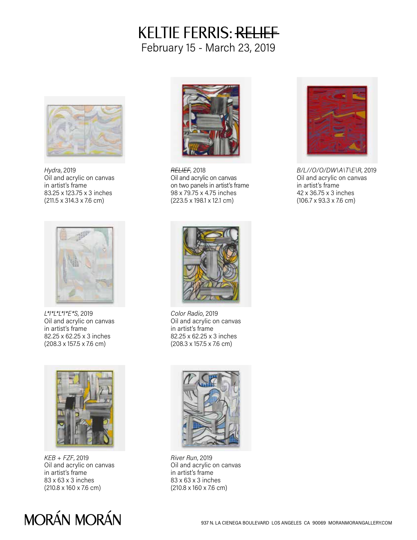## KELTIE FERRIS: RELIEF February 15 - March 23, 2019



*Hydra*, 2019 Oil and acrylic on canvas in artist's frame 83.25 x 123.75 x 3 inches (211.5 x 314.3 x 7.6 cm)



*RELIEF*, 2018 Oil and acrylic on canvas on two panels in artist's frame 98 x 79.75 x 4.75 inches (223.5 x 198.1 x 12.1 cm)



*B/L//O/O/DW\A\T\E\R*, 2019 Oil and acrylic on canvas in artist's frame 42 x 36.75 x 3 inches (106.7 x 93.3 x 7.6 cm)



*L\*I\*L\*L\*I\*E\*S*, 2019 Oil and acrylic on canvas in artist's frame 82.25 x 62.25 x 3 inches (208.3 x 157.5 x 7.6 cm)



*KEB + FZF*, 2019 Oil and acrylic on canvas in artist's frame 83 x 63 x 3 inches (210.8 x 160 x 7.6 cm)

## MORÁN MORÁN



*Color Radio*, 2019 Oil and acrylic on canvas in artist's frame 82.25 x 62.25 x 3 inches (208.3 x 157.5 x 7.6 cm)



*River Run*, 2019 Oil and acrylic on canvas in artist's frame 83 x 63 x 3 inches (210.8 x 160 x 7.6 cm)